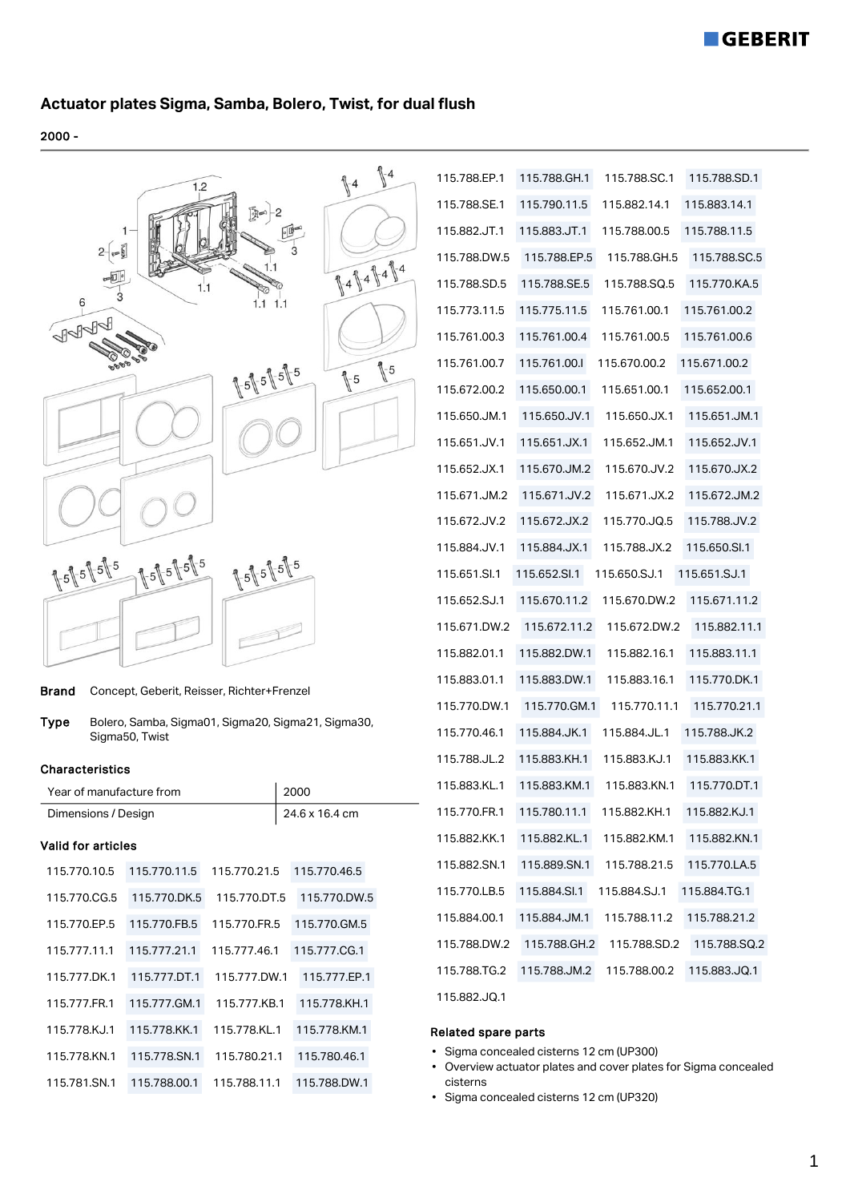

# **Actuator plates Sigma, Samba, Bolero, Twist, for dual flush**

## 2000 -



Brand Concept, Geberit, Reisser, Richter+Frenzel

Type Bolero, Samba, Sigma01, Sigma20, Sigma21, Sigma30, Sigma50, Twist

#### Characteristics

| Year of manufacture from | 2000           |
|--------------------------|----------------|
| Dimensions / Design      | 24.6 x 16.4 cm |

### Valid for articles

| 115.770.10.5 | 115.770.11.5 | 115.770.21.5 | 115.770.46.5 |
|--------------|--------------|--------------|--------------|
| 115.770.CG.5 | 115.770.DK.5 | 115.770.DT.5 | 115.770.DW.5 |
| 115.770.EP.5 | 115.770.FB.5 | 115.770.FR.5 | 115.770.GM.5 |
| 115.777.11.1 | 115.777.21.1 | 115.777.46.1 | 115.777.CG.1 |
| 115.777.DK.1 | 115.777.DT.1 | 115.777.DW.1 | 115.777.EP.1 |
| 115.777.FR.1 | 115.777.GM.1 | 115.777.KB.1 | 115.778.KH.1 |
| 115.778.KJ.1 | 115.778.KK.1 | 115.778.KL1  | 115.778.KM.1 |
| 115.778.KN.1 | 115.778.SN.1 | 115.780.21.1 | 115.780.46.1 |
| 115.781.SN.1 | 115.788.00.1 | 115.788.11.1 | 115.788.DW.1 |

| 115.788.EP.1 | 115.788.GH.1 | 115.788.SC.1 | 115.788.SD.1 |
|--------------|--------------|--------------|--------------|
| 115.788.SE.1 | 115.790.11.5 | 115.882.14.1 | 115.883.14.1 |
| 115.882.JT.1 | 115.883.JT.1 | 115.788.00.5 | 115.788.11.5 |
| 115.788.DW.5 | 115.788.EP.5 | 115.788.GH.5 | 115.788.SC.5 |
| 115.788.SD.5 | 115.788.SE.5 | 115.788.SQ.5 | 115.770.KA.5 |
| 115.773.11.5 | 115.775.11.5 | 115.761.00.1 | 115.761.00.2 |
| 115.761.00.3 | 115.761.00.4 | 115.761.00.5 | 115.761.00.6 |
| 115.761.00.7 | 115.761.00.  | 115.670.00.2 | 115.671.00.2 |
| 115.672.00.2 | 115.650.00.1 | 115.651.00.1 | 115.652.00.1 |
| 115.650.JM.1 | 115.650.JV.1 | 115.650.JX.1 | 115.651.JM.1 |
| 115.651.JV.1 | 115.651.JX.1 | 115.652.JM.1 | 115.652.JV.1 |
| 115.652.JX.1 | 115.670.JM.2 | 115.670.JV.2 | 115.670.JX.2 |
| 115.671.JM.2 | 115.671.JV.2 | 115.671.JX.2 | 115.672.JM.2 |
| 115.672.JV.2 | 115.672.JX.2 | 115.770.JQ.5 | 115.788.JV.2 |
| 115.884.JV.1 | 115.884.JX.1 | 115.788.JX.2 | 115.650.SI.1 |
| 115.651.Sl.1 | 115.652.SI.1 | 115.650.SJ.1 | 115.651.SJ.1 |
| 115.652.SJ.1 | 115.670.11.2 | 115.670.DW.2 | 115.671.11.2 |
| 115.671.DW.2 | 115.672.11.2 | 115.672.DW.2 | 115.882.11.1 |
| 115.882.01.1 | 115.882.DW.1 | 115.882.16.1 | 115.883.11.1 |
| 115.883.01.1 | 115.883.DW.1 | 115.883.16.1 | 115.770.DK.1 |
| 115.770.DW.1 | 115.770.GM.1 | 115.770.11.1 | 115.770.21.1 |
| 115.770.46.1 | 115.884.JK.1 | 115.884.JL.1 | 115.788.JK.2 |
| 115.788.JL.2 | 115.883.KH.1 | 115.883.KJ.1 | 115.883.KK.1 |
| 115.883.KL.1 | 115.883.KM.1 | 115.883.KN.1 | 115.770.DT.1 |
| 115.770.FR.1 | 115.780.11.1 | 115.882.KH.1 | 115.882.KJ.1 |
| 115.882.KK.1 | 115.882.KL.1 | 115.882.KM.1 | 115.882.KN.1 |
| 115.882.SN.1 | 115.889.SN.1 | 115.788.21.5 | 115.770.LA.5 |
| 115.770.LB.5 | 115.884.Sl.1 | 115.884.SJ.1 | 115.884.TG.1 |
| 115.884.00.1 | 115.884.JM.1 | 115.788.11.2 | 115.788.21.2 |
| 115.788.DW.2 | 115.788.GH.2 | 115.788.SD.2 | 115.788.SQ.2 |
| 115.788.TG.2 | 115.788.JM.2 | 115.788.00.2 | 115.883.JQ.1 |
| 115.882.JQ.1 |              |              |              |

#### Related spare parts

- Sigma concealed cisterns 12 cm (UP300)
- Overview actuator plates and cover plates for Sigma concealed cisterns
- Sigma concealed cisterns 12 cm (UP320)